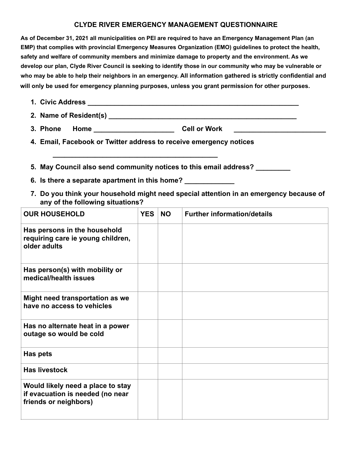## **CLYDE RIVER EMERGENCY MANAGEMENT QUESTIONNAIRE**

**As of December 31, 2021 all municipalities on PEI are required to have an Emergency Management Plan (an EMP) that complies with provincial Emergency Measures Organization (EMO) guidelines to protect the health, safety and welfare of community members and minimize damage to property and the environment. As we develop our plan, Clyde River Council is seeking to identify those in our community who may be vulnerable or who may be able to help their neighbors in an emergency. All information gathered is strictly confidential and will only be used for emergency planning purposes, unless you grant permission for other purposes.** 

- **1. Civic Address \_\_\_\_\_\_\_\_\_\_\_\_\_\_\_\_\_\_\_\_\_\_\_\_\_\_\_\_\_\_\_\_\_\_\_\_\_\_\_\_\_\_\_\_\_\_\_\_\_\_\_\_\_\_\_**
- **2. Name of Resident(s) \_\_\_\_\_\_\_\_\_\_\_\_\_\_\_\_\_\_\_\_\_\_\_\_\_\_\_\_\_\_\_\_\_\_\_\_\_\_\_\_\_\_\_\_\_\_\_\_\_**
- **3. Phone Home \_\_\_\_\_\_\_\_\_\_\_\_\_\_\_\_\_\_\_\_\_ Cell or Work \_\_\_\_\_\_\_\_\_\_\_\_\_\_\_\_\_\_\_\_\_\_\_\_**
- **4. Email, Facebook or Twitter address to receive emergency notices**
- **5. May Council also send community notices to this email address? \_\_\_\_\_\_\_\_\_**
- **6. Is there a separate apartment in this home? \_\_\_\_\_\_\_\_\_\_\_\_\_**

 **\_\_\_\_\_\_\_\_\_\_\_\_\_\_\_\_\_\_\_\_\_\_\_\_\_\_\_\_\_\_\_\_\_\_\_\_\_\_\_\_\_\_\_** 

**7. Do you think your household might need special attention in an emergency because of any of the following situations?** 

| <b>OUR HOUSEHOLD</b>                                                                           | <b>YES</b> | <b>NO</b> | <b>Further information/details</b> |
|------------------------------------------------------------------------------------------------|------------|-----------|------------------------------------|
| Has persons in the household<br>requiring care ie young children,<br>older adults              |            |           |                                    |
| Has person(s) with mobility or<br>medical/health issues                                        |            |           |                                    |
| Might need transportation as we<br>have no access to vehicles                                  |            |           |                                    |
| Has no alternate heat in a power<br>outage so would be cold                                    |            |           |                                    |
| Has pets                                                                                       |            |           |                                    |
| <b>Has livestock</b>                                                                           |            |           |                                    |
| Would likely need a place to stay<br>if evacuation is needed (no near<br>friends or neighbors) |            |           |                                    |